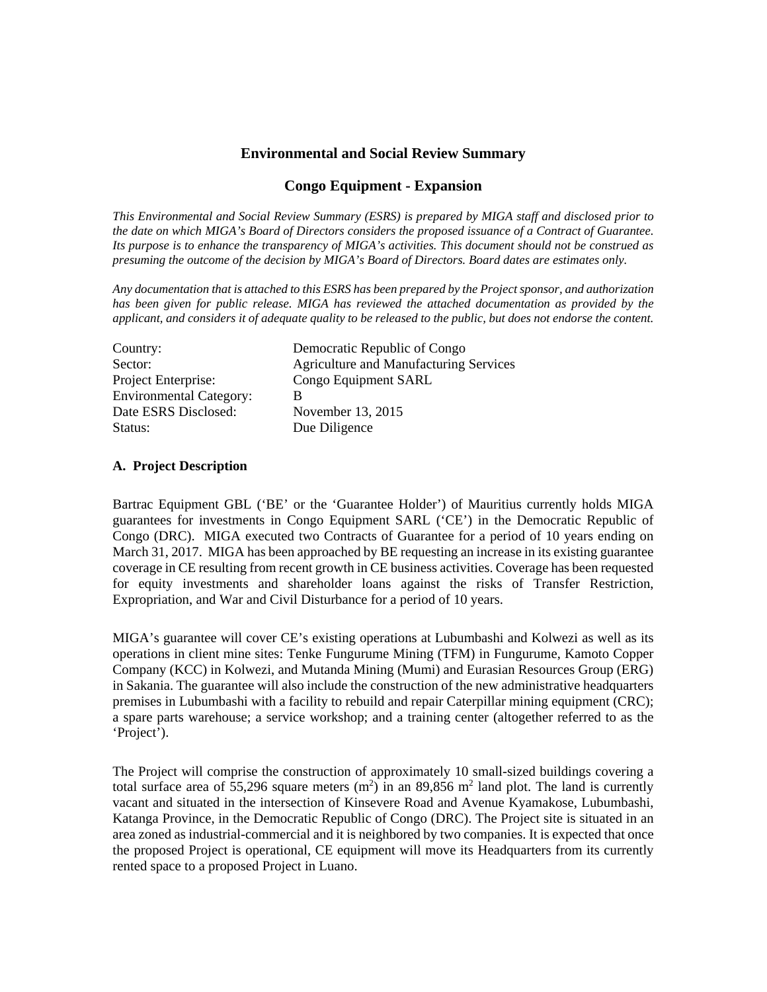## **Environmental and Social Review Summary**

## **Congo Equipment - Expansion**

*This Environmental and Social Review Summary (ESRS) is prepared by MIGA staff and disclosed prior to the date on which MIGA's Board of Directors considers the proposed issuance of a Contract of Guarantee. Its purpose is to enhance the transparency of MIGA's activities. This document should not be construed as presuming the outcome of the decision by MIGA's Board of Directors. Board dates are estimates only.* 

*Any documentation that is attached to this ESRS has been prepared by the Project sponsor, and authorization has been given for public release. MIGA has reviewed the attached documentation as provided by the applicant, and considers it of adequate quality to be released to the public, but does not endorse the content.* 

| Country:                       | Democratic Republic of Congo                  |
|--------------------------------|-----------------------------------------------|
| Sector:                        | <b>Agriculture and Manufacturing Services</b> |
| Project Enterprise:            | Congo Equipment SARL                          |
| <b>Environmental Category:</b> | в                                             |
| Date ESRS Disclosed:           | November 13, 2015                             |
| Status:                        | Due Diligence                                 |

### **A. Project Description**

Bartrac Equipment GBL ('BE' or the 'Guarantee Holder') of Mauritius currently holds MIGA guarantees for investments in Congo Equipment SARL ('CE') in the Democratic Republic of Congo (DRC). MIGA executed two Contracts of Guarantee for a period of 10 years ending on March 31, 2017. MIGA has been approached by BE requesting an increase in its existing guarantee coverage in CE resulting from recent growth in CE business activities. Coverage has been requested for equity investments and shareholder loans against the risks of Transfer Restriction, Expropriation, and War and Civil Disturbance for a period of 10 years.

MIGA's guarantee will cover CE's existing operations at Lubumbashi and Kolwezi as well as its operations in client mine sites: Tenke Fungurume Mining (TFM) in Fungurume, Kamoto Copper Company (KCC) in Kolwezi, and Mutanda Mining (Mumi) and Eurasian Resources Group (ERG) in Sakania. The guarantee will also include the construction of the new administrative headquarters premises in Lubumbashi with a facility to rebuild and repair Caterpillar mining equipment (CRC); a spare parts warehouse; a service workshop; and a training center (altogether referred to as the 'Project').

The Project will comprise the construction of approximately 10 small-sized buildings covering a total surface area of 55,296 square meters  $(m<sup>2</sup>)$  in an 89,856 m<sup>2</sup> land plot. The land is currently vacant and situated in the intersection of Kinsevere Road and Avenue Kyamakose, Lubumbashi, Katanga Province, in the Democratic Republic of Congo (DRC). The Project site is situated in an area zoned as industrial-commercial and it is neighbored by two companies. It is expected that once the proposed Project is operational, CE equipment will move its Headquarters from its currently rented space to a proposed Project in Luano.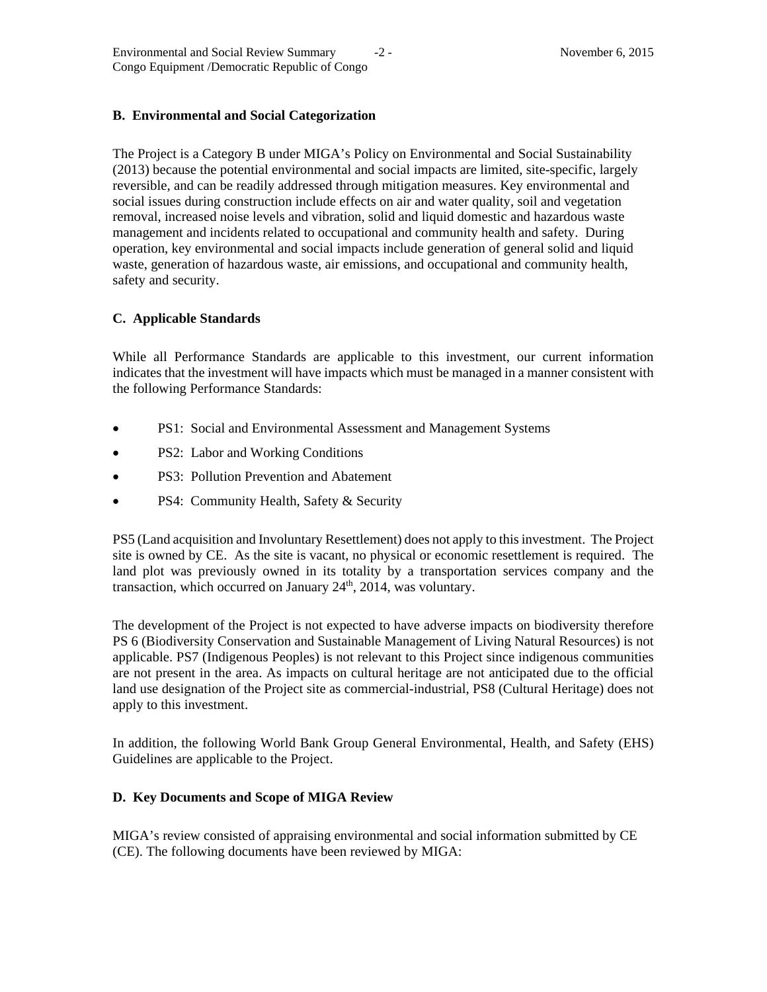## **B. Environmental and Social Categorization**

The Project is a Category B under MIGA's Policy on Environmental and Social Sustainability (2013) because the potential environmental and social impacts are limited, site-specific, largely reversible, and can be readily addressed through mitigation measures. Key environmental and social issues during construction include effects on air and water quality, soil and vegetation removal, increased noise levels and vibration, solid and liquid domestic and hazardous waste management and incidents related to occupational and community health and safety. During operation, key environmental and social impacts include generation of general solid and liquid waste, generation of hazardous waste, air emissions, and occupational and community health, safety and security.

### **C. Applicable Standards**

While all Performance Standards are applicable to this investment, our current information indicates that the investment will have impacts which must be managed in a manner consistent with the following Performance Standards:

- PS1: Social and Environmental Assessment and Management Systems
- PS2: Labor and Working Conditions
- PS3: Pollution Prevention and Abatement
- PS4: Community Health, Safety & Security

PS5 (Land acquisition and Involuntary Resettlement) does not apply to this investment. The Project site is owned by CE. As the site is vacant, no physical or economic resettlement is required. The land plot was previously owned in its totality by a transportation services company and the transaction, which occurred on January  $24<sup>th</sup>$ ,  $2014$ , was voluntary.

The development of the Project is not expected to have adverse impacts on biodiversity therefore PS 6 (Biodiversity Conservation and Sustainable Management of Living Natural Resources) is not applicable. PS7 (Indigenous Peoples) is not relevant to this Project since indigenous communities are not present in the area. As impacts on cultural heritage are not anticipated due to the official land use designation of the Project site as commercial-industrial, PS8 (Cultural Heritage) does not apply to this investment.

In addition, the following World Bank Group General Environmental, Health, and Safety (EHS) Guidelines are applicable to the Project.

### **D. Key Documents and Scope of MIGA Review**

MIGA's review consisted of appraising environmental and social information submitted by CE (CE). The following documents have been reviewed by MIGA: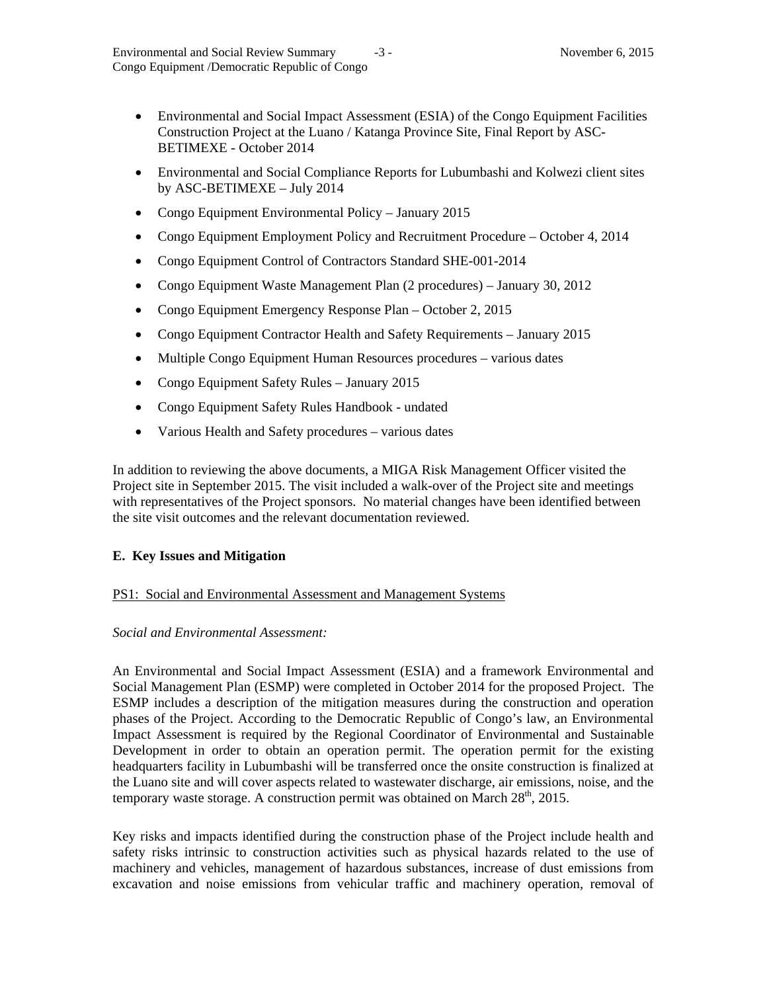- Environmental and Social Impact Assessment (ESIA) of the Congo Equipment Facilities Construction Project at the Luano / Katanga Province Site, Final Report by ASC-BETIMEXE - October 2014
- Environmental and Social Compliance Reports for Lubumbashi and Kolwezi client sites by ASC-BETIMEXE – July 2014
- Congo Equipment Environmental Policy January 2015
- Congo Equipment Employment Policy and Recruitment Procedure October 4, 2014
- Congo Equipment Control of Contractors Standard SHE-001-2014
- Congo Equipment Waste Management Plan (2 procedures) January 30, 2012
- Congo Equipment Emergency Response Plan October 2, 2015
- Congo Equipment Contractor Health and Safety Requirements January 2015
- Multiple Congo Equipment Human Resources procedures various dates
- Congo Equipment Safety Rules January 2015
- Congo Equipment Safety Rules Handbook undated
- Various Health and Safety procedures various dates

In addition to reviewing the above documents, a MIGA Risk Management Officer visited the Project site in September 2015. The visit included a walk-over of the Project site and meetings with representatives of the Project sponsors. No material changes have been identified between the site visit outcomes and the relevant documentation reviewed.

### **E. Key Issues and Mitigation**

### PS1: Social and Environmental Assessment and Management Systems

### *Social and Environmental Assessment:*

An Environmental and Social Impact Assessment (ESIA) and a framework Environmental and Social Management Plan (ESMP) were completed in October 2014 for the proposed Project. The ESMP includes a description of the mitigation measures during the construction and operation phases of the Project. According to the Democratic Republic of Congo's law, an Environmental Impact Assessment is required by the Regional Coordinator of Environmental and Sustainable Development in order to obtain an operation permit. The operation permit for the existing headquarters facility in Lubumbashi will be transferred once the onsite construction is finalized at the Luano site and will cover aspects related to wastewater discharge, air emissions, noise, and the temporary waste storage. A construction permit was obtained on March  $28<sup>th</sup>$ ,  $2015$ .

Key risks and impacts identified during the construction phase of the Project include health and safety risks intrinsic to construction activities such as physical hazards related to the use of machinery and vehicles, management of hazardous substances, increase of dust emissions from excavation and noise emissions from vehicular traffic and machinery operation, removal of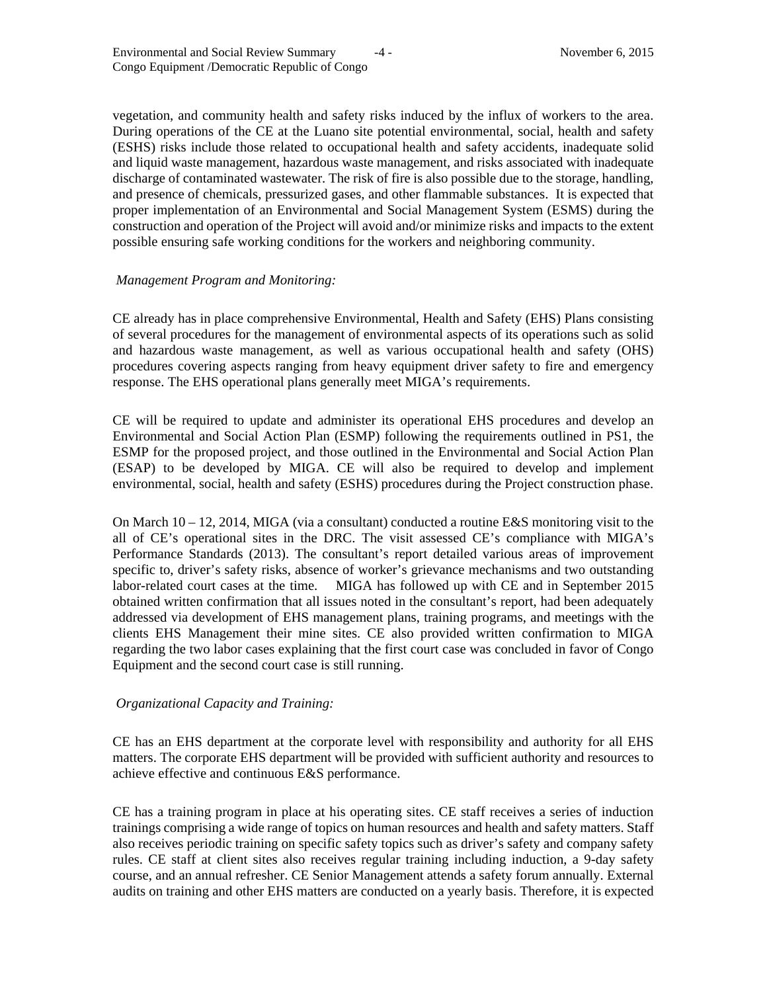vegetation, and community health and safety risks induced by the influx of workers to the area. During operations of the CE at the Luano site potential environmental, social, health and safety (ESHS) risks include those related to occupational health and safety accidents, inadequate solid and liquid waste management, hazardous waste management, and risks associated with inadequate discharge of contaminated wastewater. The risk of fire is also possible due to the storage, handling, and presence of chemicals, pressurized gases, and other flammable substances. It is expected that proper implementation of an Environmental and Social Management System (ESMS) during the construction and operation of the Project will avoid and/or minimize risks and impacts to the extent possible ensuring safe working conditions for the workers and neighboring community.

#### *Management Program and Monitoring:*

CE already has in place comprehensive Environmental, Health and Safety (EHS) Plans consisting of several procedures for the management of environmental aspects of its operations such as solid and hazardous waste management, as well as various occupational health and safety (OHS) procedures covering aspects ranging from heavy equipment driver safety to fire and emergency response. The EHS operational plans generally meet MIGA's requirements.

CE will be required to update and administer its operational EHS procedures and develop an Environmental and Social Action Plan (ESMP) following the requirements outlined in PS1, the ESMP for the proposed project, and those outlined in the Environmental and Social Action Plan (ESAP) to be developed by MIGA. CE will also be required to develop and implement environmental, social, health and safety (ESHS) procedures during the Project construction phase.

On March  $10 - 12$ , 2014, MIGA (via a consultant) conducted a routine E&S monitoring visit to the all of CE's operational sites in the DRC. The visit assessed CE's compliance with MIGA's Performance Standards (2013). The consultant's report detailed various areas of improvement specific to, driver's safety risks, absence of worker's grievance mechanisms and two outstanding labor-related court cases at the time. MIGA has followed up with CE and in September 2015 obtained written confirmation that all issues noted in the consultant's report, had been adequately addressed via development of EHS management plans, training programs, and meetings with the clients EHS Management their mine sites. CE also provided written confirmation to MIGA regarding the two labor cases explaining that the first court case was concluded in favor of Congo Equipment and the second court case is still running.

### *Organizational Capacity and Training:*

CE has an EHS department at the corporate level with responsibility and authority for all EHS matters. The corporate EHS department will be provided with sufficient authority and resources to achieve effective and continuous E&S performance.

CE has a training program in place at his operating sites. CE staff receives a series of induction trainings comprising a wide range of topics on human resources and health and safety matters. Staff also receives periodic training on specific safety topics such as driver's safety and company safety rules. CE staff at client sites also receives regular training including induction, a 9-day safety course, and an annual refresher. CE Senior Management attends a safety forum annually. External audits on training and other EHS matters are conducted on a yearly basis. Therefore, it is expected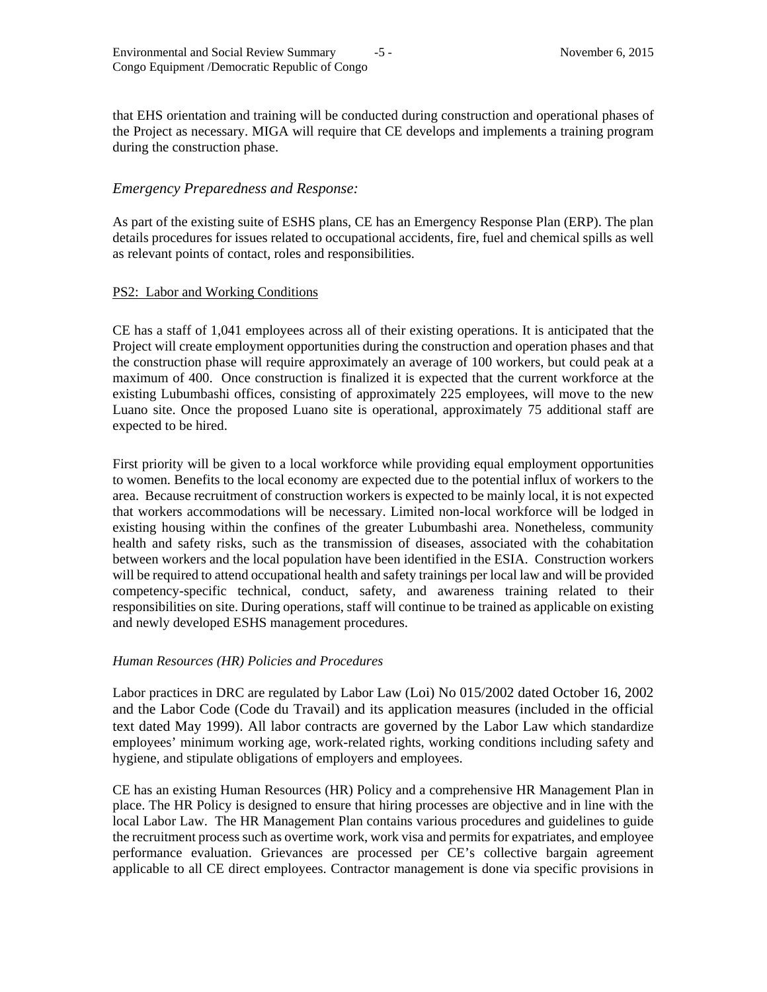that EHS orientation and training will be conducted during construction and operational phases of the Project as necessary. MIGA will require that CE develops and implements a training program during the construction phase.

# *Emergency Preparedness and Response:*

As part of the existing suite of ESHS plans, CE has an Emergency Response Plan (ERP). The plan details procedures for issues related to occupational accidents, fire, fuel and chemical spills as well as relevant points of contact, roles and responsibilities.

### PS2: Labor and Working Conditions

CE has a staff of 1,041 employees across all of their existing operations. It is anticipated that the Project will create employment opportunities during the construction and operation phases and that the construction phase will require approximately an average of 100 workers, but could peak at a maximum of 400. Once construction is finalized it is expected that the current workforce at the existing Lubumbashi offices, consisting of approximately 225 employees, will move to the new Luano site. Once the proposed Luano site is operational, approximately 75 additional staff are expected to be hired.

First priority will be given to a local workforce while providing equal employment opportunities to women. Benefits to the local economy are expected due to the potential influx of workers to the area. Because recruitment of construction workers is expected to be mainly local, it is not expected that workers accommodations will be necessary. Limited non-local workforce will be lodged in existing housing within the confines of the greater Lubumbashi area. Nonetheless, community health and safety risks, such as the transmission of diseases, associated with the cohabitation between workers and the local population have been identified in the ESIA. Construction workers will be required to attend occupational health and safety trainings per local law and will be provided competency-specific technical, conduct, safety, and awareness training related to their responsibilities on site. During operations, staff will continue to be trained as applicable on existing and newly developed ESHS management procedures.

### *Human Resources (HR) Policies and Procedures*

Labor practices in DRC are regulated by Labor Law (Loi) No 015/2002 dated October 16, 2002 and the Labor Code (Code du Travail) and its application measures (included in the official text dated May 1999). All labor contracts are governed by the Labor Law which standardize employees' minimum working age, work-related rights, working conditions including safety and hygiene, and stipulate obligations of employers and employees.

CE has an existing Human Resources (HR) Policy and a comprehensive HR Management Plan in place. The HR Policy is designed to ensure that hiring processes are objective and in line with the local Labor Law. The HR Management Plan contains various procedures and guidelines to guide the recruitment process such as overtime work, work visa and permits for expatriates, and employee performance evaluation. Grievances are processed per CE's collective bargain agreement applicable to all CE direct employees. Contractor management is done via specific provisions in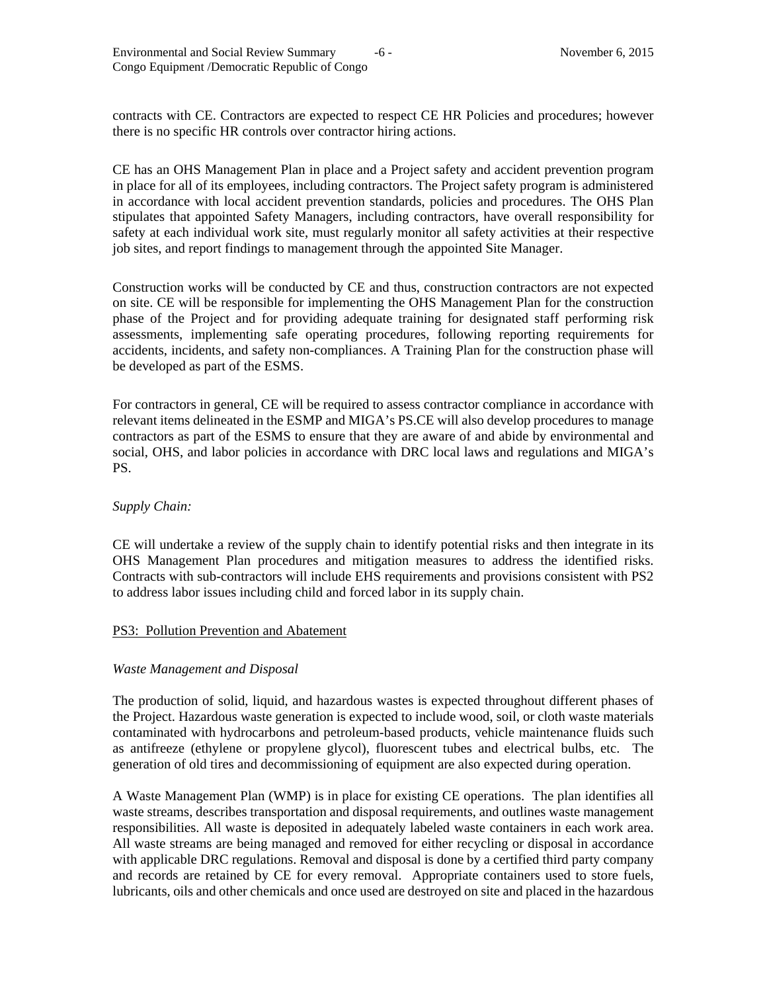contracts with CE. Contractors are expected to respect CE HR Policies and procedures; however there is no specific HR controls over contractor hiring actions.

CE has an OHS Management Plan in place and a Project safety and accident prevention program in place for all of its employees, including contractors. The Project safety program is administered in accordance with local accident prevention standards, policies and procedures. The OHS Plan stipulates that appointed Safety Managers, including contractors, have overall responsibility for safety at each individual work site, must regularly monitor all safety activities at their respective job sites, and report findings to management through the appointed Site Manager.

Construction works will be conducted by CE and thus, construction contractors are not expected on site. CE will be responsible for implementing the OHS Management Plan for the construction phase of the Project and for providing adequate training for designated staff performing risk assessments, implementing safe operating procedures, following reporting requirements for accidents, incidents, and safety non-compliances. A Training Plan for the construction phase will be developed as part of the ESMS.

For contractors in general, CE will be required to assess contractor compliance in accordance with relevant items delineated in the ESMP and MIGA's PS.CE will also develop procedures to manage contractors as part of the ESMS to ensure that they are aware of and abide by environmental and social, OHS, and labor policies in accordance with DRC local laws and regulations and MIGA's PS.

### *Supply Chain:*

CE will undertake a review of the supply chain to identify potential risks and then integrate in its OHS Management Plan procedures and mitigation measures to address the identified risks. Contracts with sub-contractors will include EHS requirements and provisions consistent with PS2 to address labor issues including child and forced labor in its supply chain.

### PS3: Pollution Prevention and Abatement

### *Waste Management and Disposal*

The production of solid, liquid, and hazardous wastes is expected throughout different phases of the Project. Hazardous waste generation is expected to include wood, soil, or cloth waste materials contaminated with hydrocarbons and petroleum-based products, vehicle maintenance fluids such as antifreeze (ethylene or propylene glycol), fluorescent tubes and electrical bulbs, etc. The generation of old tires and decommissioning of equipment are also expected during operation.

A Waste Management Plan (WMP) is in place for existing CE operations. The plan identifies all waste streams, describes transportation and disposal requirements, and outlines waste management responsibilities. All waste is deposited in adequately labeled waste containers in each work area. All waste streams are being managed and removed for either recycling or disposal in accordance with applicable DRC regulations. Removal and disposal is done by a certified third party company and records are retained by CE for every removal. Appropriate containers used to store fuels, lubricants, oils and other chemicals and once used are destroyed on site and placed in the hazardous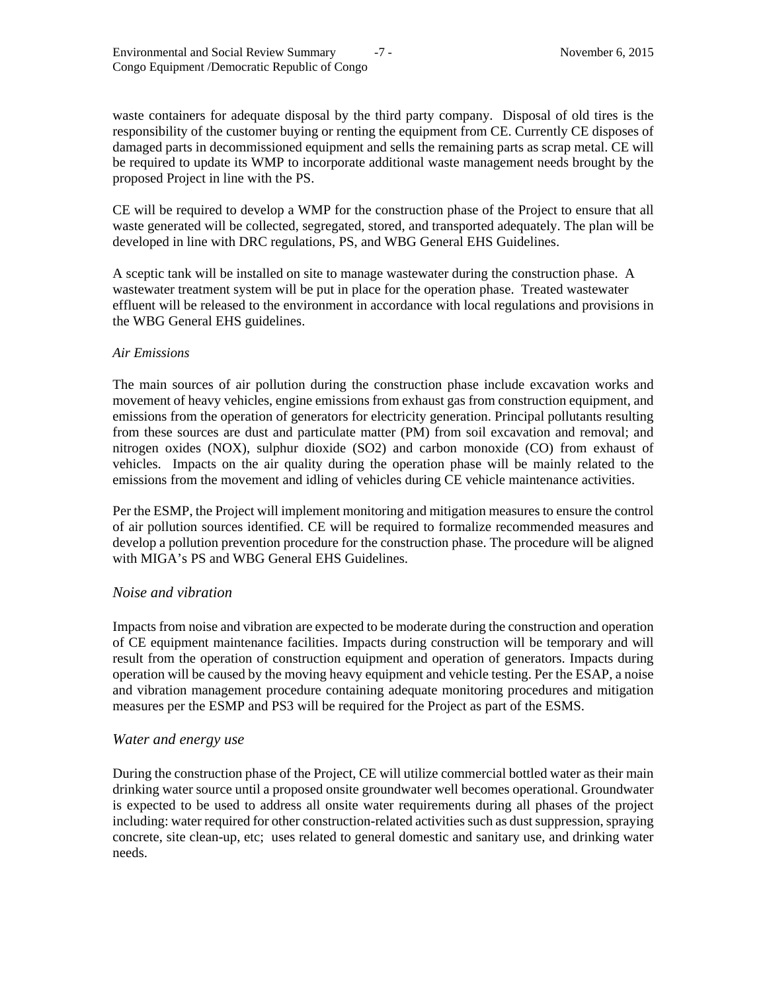waste containers for adequate disposal by the third party company. Disposal of old tires is the responsibility of the customer buying or renting the equipment from CE. Currently CE disposes of damaged parts in decommissioned equipment and sells the remaining parts as scrap metal. CE will be required to update its WMP to incorporate additional waste management needs brought by the proposed Project in line with the PS.

CE will be required to develop a WMP for the construction phase of the Project to ensure that all waste generated will be collected, segregated, stored, and transported adequately. The plan will be developed in line with DRC regulations, PS, and WBG General EHS Guidelines.

A sceptic tank will be installed on site to manage wastewater during the construction phase. A wastewater treatment system will be put in place for the operation phase. Treated wastewater effluent will be released to the environment in accordance with local regulations and provisions in the WBG General EHS guidelines.

#### *Air Emissions*

The main sources of air pollution during the construction phase include excavation works and movement of heavy vehicles, engine emissions from exhaust gas from construction equipment, and emissions from the operation of generators for electricity generation. Principal pollutants resulting from these sources are dust and particulate matter (PM) from soil excavation and removal; and nitrogen oxides (NOX), sulphur dioxide (SO2) and carbon monoxide (CO) from exhaust of vehicles. Impacts on the air quality during the operation phase will be mainly related to the emissions from the movement and idling of vehicles during CE vehicle maintenance activities.

Per the ESMP, the Project will implement monitoring and mitigation measures to ensure the control of air pollution sources identified. CE will be required to formalize recommended measures and develop a pollution prevention procedure for the construction phase. The procedure will be aligned with MIGA's PS and WBG General EHS Guidelines.

### *Noise and vibration*

Impacts from noise and vibration are expected to be moderate during the construction and operation of CE equipment maintenance facilities. Impacts during construction will be temporary and will result from the operation of construction equipment and operation of generators. Impacts during operation will be caused by the moving heavy equipment and vehicle testing. Per the ESAP, a noise and vibration management procedure containing adequate monitoring procedures and mitigation measures per the ESMP and PS3 will be required for the Project as part of the ESMS.

### *Water and energy use*

During the construction phase of the Project, CE will utilize commercial bottled water as their main drinking water source until a proposed onsite groundwater well becomes operational. Groundwater is expected to be used to address all onsite water requirements during all phases of the project including: water required for other construction-related activities such as dust suppression, spraying concrete, site clean-up, etc; uses related to general domestic and sanitary use, and drinking water needs.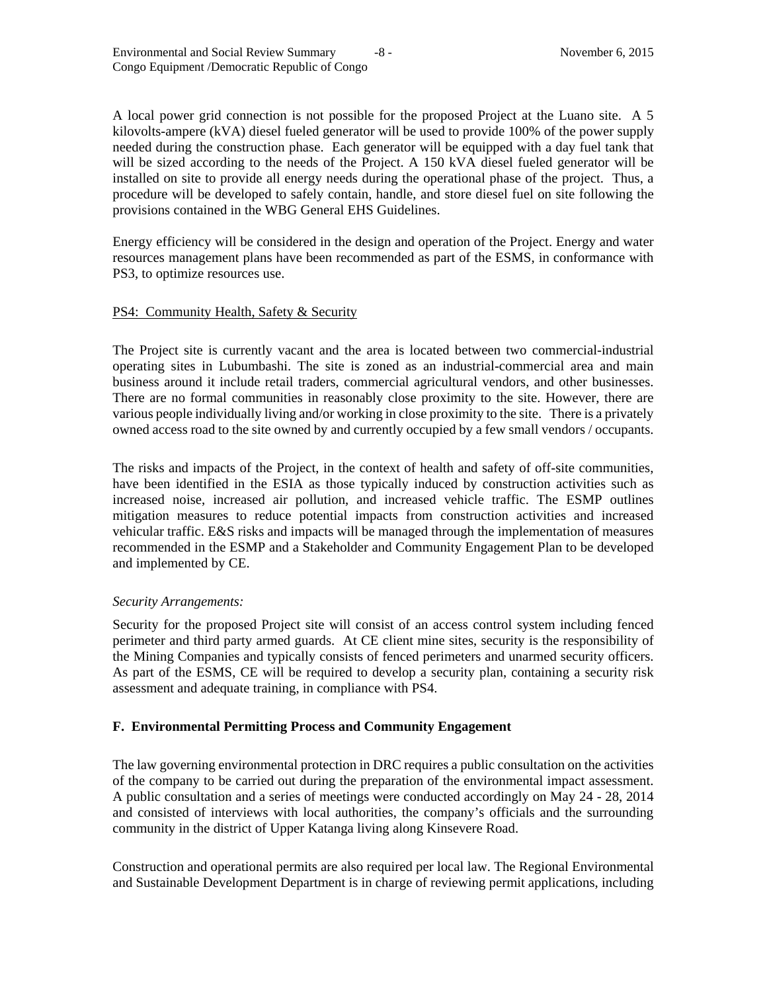A local power grid connection is not possible for the proposed Project at the Luano site. A 5 kilovolts-ampere (kVA) diesel fueled generator will be used to provide 100% of the power supply needed during the construction phase. Each generator will be equipped with a day fuel tank that will be sized according to the needs of the Project. A 150 kVA diesel fueled generator will be installed on site to provide all energy needs during the operational phase of the project. Thus, a procedure will be developed to safely contain, handle, and store diesel fuel on site following the provisions contained in the WBG General EHS Guidelines.

Energy efficiency will be considered in the design and operation of the Project. Energy and water resources management plans have been recommended as part of the ESMS, in conformance with PS3, to optimize resources use.

### PS4: Community Health, Safety & Security

The Project site is currently vacant and the area is located between two commercial-industrial operating sites in Lubumbashi. The site is zoned as an industrial-commercial area and main business around it include retail traders, commercial agricultural vendors, and other businesses. There are no formal communities in reasonably close proximity to the site. However, there are various people individually living and/or working in close proximity to the site. There is a privately owned access road to the site owned by and currently occupied by a few small vendors / occupants.

The risks and impacts of the Project, in the context of health and safety of off-site communities, have been identified in the ESIA as those typically induced by construction activities such as increased noise, increased air pollution, and increased vehicle traffic. The ESMP outlines mitigation measures to reduce potential impacts from construction activities and increased vehicular traffic. E&S risks and impacts will be managed through the implementation of measures recommended in the ESMP and a Stakeholder and Community Engagement Plan to be developed and implemented by CE.

#### *Security Arrangements:*

Security for the proposed Project site will consist of an access control system including fenced perimeter and third party armed guards. At CE client mine sites, security is the responsibility of the Mining Companies and typically consists of fenced perimeters and unarmed security officers. As part of the ESMS, CE will be required to develop a security plan, containing a security risk assessment and adequate training, in compliance with PS4.

### **F. Environmental Permitting Process and Community Engagement**

The law governing environmental protection in DRC requires a public consultation on the activities of the company to be carried out during the preparation of the environmental impact assessment. A public consultation and a series of meetings were conducted accordingly on May 24 - 28, 2014 and consisted of interviews with local authorities, the company's officials and the surrounding community in the district of Upper Katanga living along Kinsevere Road.

Construction and operational permits are also required per local law. The Regional Environmental and Sustainable Development Department is in charge of reviewing permit applications, including